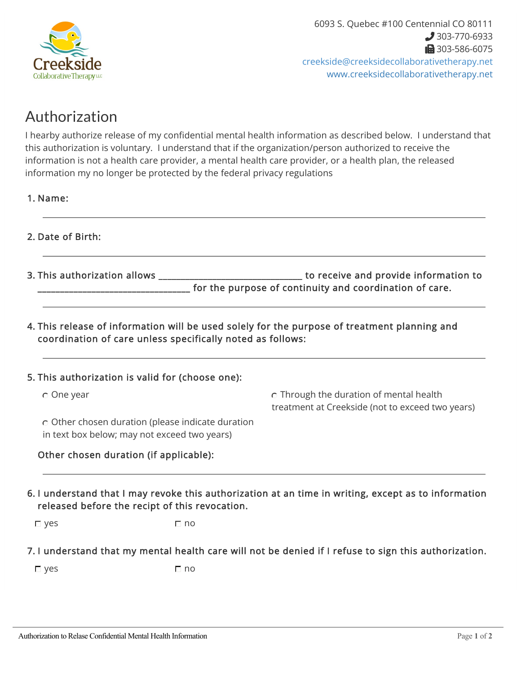

## Authorization

I hearby authorize release of my confidential mental health information as described below. I understand that this authorization is voluntary. I understand that if the organization/person authorized to receive the information is not a health care provider, a mental health care provider, or a health plan, the released information my no longer be protected by the federal privacy regulations

- 1. Name:
- 2. Date of Birth:
- This authorization and provide information to \_\_\_\_\_ for the purpose of continuity and coordination of care. 3. This authorization allows \_\_\_\_
- 4. This release of information will be used solely for the purpose of treatment planning and coordination of care unless specifically noted as follows:

| 5. This authorization is valid for (choose one):                                                  |                                                                                                      |
|---------------------------------------------------------------------------------------------------|------------------------------------------------------------------------------------------------------|
| $\circ$ One year                                                                                  | o Through the duration of mental health<br>treatment at Creekside (not to exceed two years)          |
| o Other chosen duration (please indicate duration<br>in text box below; may not exceed two years) |                                                                                                      |
| Other chosen duration (if applicable):                                                            |                                                                                                      |
| released before the recipt of this revocation.<br>$\Gamma$ no<br>$\Box$ yes                       | 6. I understand that I may revoke this authorization at an time in writing, except as to information |

7. I understand that my mental health care will not be denied if I refuse to sign this authorization.

 $\square$  yes  $\square$  no